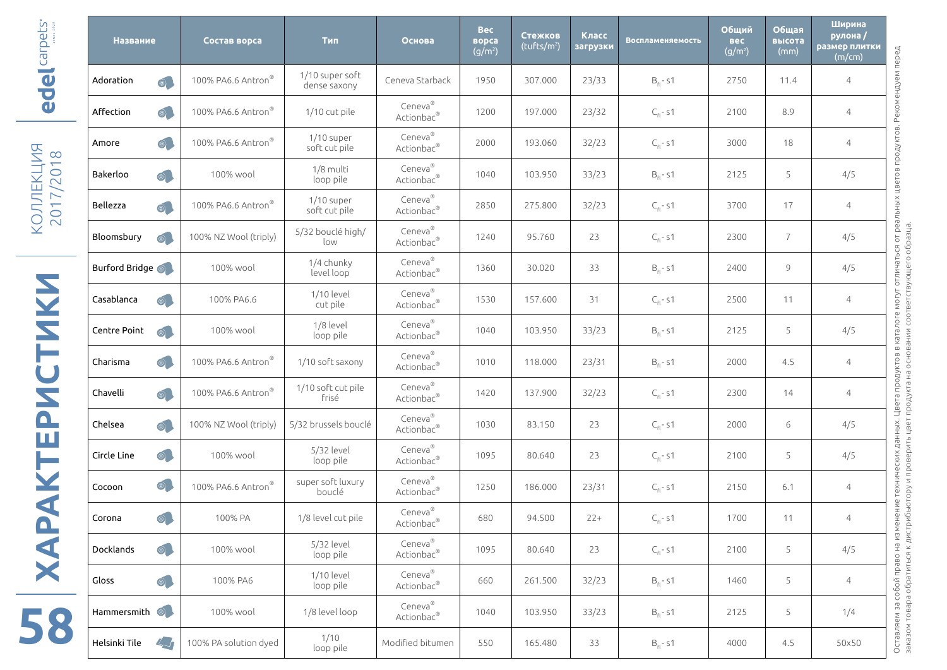| el carpets                                                                                                                                                     | <b>Название</b>          |                | Состав ворса                   | Тип                             | Основа                | <b>Bec</b><br>ворса<br>$(g/m^2)$ | Стежков<br>$(t$ ufts/m <sup>2</sup> ) | Класс<br>загрузки | <b>Воспламеняемость</b> | Общий<br>вес<br>$(g/m^2)$ | Общая<br>высота<br>(mm) | Ширина<br>рулона/<br>размер плитки<br>(m/cm) |
|----------------------------------------------------------------------------------------------------------------------------------------------------------------|--------------------------|----------------|--------------------------------|---------------------------------|-----------------------|----------------------------------|---------------------------------------|-------------------|-------------------------|---------------------------|-------------------------|----------------------------------------------|
|                                                                                                                                                                | Adoration                | $\circledcirc$ | 100% PA6.6 Antron <sup>®</sup> | 1/10 super soft<br>dense saxony | Ceneva Starback       | 1950                             | 307.000                               | 23/33             | $B_{\rm fl}$ - s1       | 2750                      | 11.4                    | 4                                            |
| <b>PO</b>                                                                                                                                                      | Affection                | $\circledcirc$ | 100% PA6.6 Antron <sup>®</sup> | 1/10 cut pile                   | Ceneva®<br>Actionbac® | 1200                             | 197.000                               | 23/32             | $C_{\text{fl}}$ - s1    | 2100                      | 8.9                     | 4                                            |
| $\infty$<br>$\overline{\phantom{0}}$<br>$\circ$<br>$\overline{2}$<br>ш<br>$\overline{\phantom{0}}$<br>$\overline{\phantom{0}}$<br>$\circ$<br>Q)<br>≫<br>$\sim$ | Amore                    | $\circledcirc$ | 100% PA6.6 Antron              | $1/10$ super<br>soft cut pile   | Ceneva®<br>Actionbac® | 2000                             | 193.060                               | 32/23             | $C_{\text{fl}}$ - s1    | 3000                      | 18                      | $\overline{4}$                               |
|                                                                                                                                                                | Bakerloo                 | $\circledcirc$ | 100% wool                      | 1/8 multi<br>loop pile          | Ceneva®<br>Actionbac® | 1040                             | 103.950                               | 33/23             | $B_{\rm Pl}$ - S1       | 2125                      | 5                       | 4/5                                          |
|                                                                                                                                                                | Bellezza                 | $\circledcirc$ | 100% PA6.6 Antron              | $1/10$ super<br>soft cut pile   | Ceneva®<br>Actionbac® | 2850                             | 275.800                               | 32/23             | $C_{\rm fl}$ - s1       | 3700                      | 17                      | $\overline{4}$                               |
|                                                                                                                                                                | Bloomsbury               | $\circledcirc$ | 100% NZ Wool (triply)          | 5/32 bouclé high/<br>low        | Ceneva®<br>Actionbac® | 1240                             | 95.760                                | 23                | $C_{\text{fl}}$ - s1    | 2300                      | $\overline{7}$          | 4/5                                          |
| <b>MKN.</b><br><b>U</b><br>N                                                                                                                                   | Burford Bridge           |                | 100% wool                      | 1/4 chunky<br>level loop        | Ceneva®<br>Actionbac® | 1360                             | 30.020                                | 33                | $B_{\text{fl}}$ - s1    | 2400                      | 9                       | 4/5                                          |
|                                                                                                                                                                | Casablanca               | $\circledcirc$ | 100% PA6.6                     | 1/10 level<br>cut pile          | Ceneva®<br>Actionbac® | 1530                             | 157.600                               | 31                | $C_{\rm Pl}$ - S1       | 2500                      | 11                      | 4                                            |
|                                                                                                                                                                | Centre Point             | $\circledcirc$ | 100% wool                      | 1/8 level<br>loop pile          | Ceneva®<br>Actionbac® | 1040                             | 103.950                               | 33/23             | $B_{\rm fl}$ - s1       | 2125                      | 5                       | 4/5                                          |
|                                                                                                                                                                | Charisma                 | $\circledcirc$ | 100% PA6.6 Antron®             | 1/10 soft saxony                | Ceneva®<br>Actionbac® | 1010                             | 118.000                               | 23/31             | $B_{\text{fl}}$ - s1    | 2000                      | 4.5                     | $\overline{4}$                               |
|                                                                                                                                                                | Chavelli                 | $\circledcirc$ | 100% PA6.6 Antron              | 1/10 soft cut pile<br>frisé     | Ceneva®<br>Actionbac® | 1420                             | 137.900                               | 32/23             | $C_{\rm Pl}$ - S1       | 2300                      | 14                      | 4                                            |
| $\mathbf{\Omega}$                                                                                                                                              | Chelsea                  | $\circledcirc$ | 100% NZ Wool (triply)          | 5/32 brussels bouclé            | Ceneva®<br>Actionbac® | 1030                             | 83.150                                | 23                | $C_{\text{fl}}$ - s1    | 2000                      | 6                       | 4/5                                          |
| ш<br>Н<br>$\blacktriangleleft$<br>$\bullet$<br>$\blacktriangleleft$<br>X                                                                                       | Circle Line              | $\circledcirc$ | 100% wool                      | 5/32 level<br>loop pile         | Ceneva®<br>Actionbac® | 1095                             | 80.640                                | 23                | $C_{\text{fl}}$ - s1    | 2100                      | 5                       | 4/5                                          |
|                                                                                                                                                                | Cocoon                   | $\circledcirc$ | 100% PA6.6 Antron              | super soft luxury<br>bouclé     | Ceneva®<br>Actionbac® | 1250                             | 186.000                               | 23/31             | $C_{\text{fl}}$ - s1    | 2150                      | 6.1                     | 4                                            |
|                                                                                                                                                                | Corona                   | $\circledcirc$ | 100% PA                        | 1/8 level cut pile              | Ceneva®<br>Actionbac® | 680                              | 94.500                                | $22+$             | $C_{fl}$ -s1            | 1700                      | 11                      |                                              |
|                                                                                                                                                                | Docklands                | $\circledcirc$ | 100% wool                      | 5/32 level<br>loop pile         | Ceneva®<br>Actionbac® | 1095                             | 80.640                                | 23                | $C_{\text{fl}}$ - s1    | 2100                      | 5                       | 4/5                                          |
|                                                                                                                                                                | Gloss                    | $\circledcirc$ | 100% PA6                       | 1/10 level<br>loop pile         | Ceneva®<br>Actionbac® | 660                              | 261.500                               | 32/23             | $B_{fl}$ -s1            | 1460                      | 5                       | $\overline{4}$                               |
|                                                                                                                                                                | Hammersmith <sup>1</sup> |                | 100% wool                      | 1/8 level loop                  | Ceneva®<br>Actionbac® | 1040                             | 103.950                               | 33/23             | $B_{\text{fl}}$ - s1    | 2125                      | 5                       | 1/4                                          |
| 58                                                                                                                                                             | Helsinki Tile            | $\mathbb{Z}_+$ | 100% PA solution dyed          | 1/10<br>loop pile               | Modified bitumen      | 550                              | 165.480                               | 33                | $B_{fl}$ -s1            | 4000                      | 4.5                     | 50×50                                        |

⇒<br>⊱ ,<br>≫ заказом товара обратиться к дистрибьютору и проверить цвет продукта на основании соответствующего образца. заказом товара обратиться к дистрибьютору и проверить цвет продукта на основании соответствующего образца.

КОЛЛЕКЦИЯ

**58ХАРАКТЕРИСТИКИ 2017/2018 | RAPAKTEPMCTMKN | ROMEKLIMS**